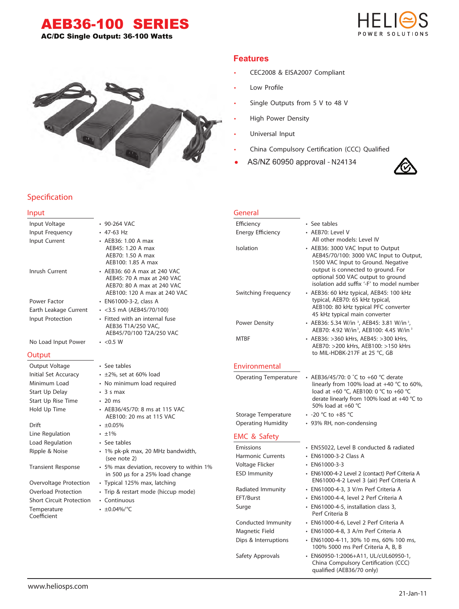# AEB36-100 SERIES

AC/DC Single Output: 36-100 Watts



• CEC2008 & EISA2007 Compliant

Single Outputs from 5 V to 48 V

AS/NZ 60950 approval - N24134

China Compulsory Certification (CCC) Qualified

Low Profile

**Features**

• High Power Density

• Universal Input

# **Specification**

#### **Input** Input Voltage • 90-264 VAC Input Frequency • 47-63 Hz Input Current • AEB36: 1.00 A max AEB45: 1.20 A max AEB70: 1.50 A max AEB100: 1.85 A max Inrush Current • AEB36: 60 A max at 240 VAC AEB45: 70 A max at 240 VAC AEB70: 80 A max at 240 VAC AEB100: 120 A max at 240 VAC Power Factor • EN61000-3-2, class A Earth Leakage Current • <3.5 mA (AEB45/70/100) Input Protection • Fitted with an internal fuse AEB36 T1A/250 VAC, AEB45/70/100 T2A/250 VAC No Load Input Power • <0.5 W **Output** Output Voltage • See tables Initial Set Accuracy • ±2%, set at 60% load Minimum Load • No minimum load required Start Up Delay • 3 s max Start Up Rise Time • 20 ms Hold Up Time • AEB36/45/70: 8 ms at 115 VAC AEB100: 20 ms at 115 VAC Drift  $\cdot$   $\pm 0.05\%$ Line Regulation • ±1% Load Regulation • See tables Ripple & Noise • 1% pk-pk max, 20 MHz bandwidth. (see note 2) Transient Response • 5% max deviation, recovery to within 1% in 500 µs for a 25% load change Overvoltage Protection • Typical 125% max, latching Overload Protection • Trip & restart mode (hiccup mode) Short Circuit Protection • Continuous Temperature • ±0.04%/°C Coefficient **General** Efficiency • See tables Energy Efficiency • AEB70: Level V All other models: Level IV Isolation • AEB36: 3000 VAC Input to Output AEB45/70/100: 3000 VAC Input to Output, 1500 VAC Input to Ground. Negative output is connected to ground. For optional 500 VAC output to ground isolation add suffix '-F' to model number Switching Frequency • AEB36: 60 kHz typical, AEB45: 100 kHz typical, AEB70: 65 kHz typical, AEB100: 80 kHz typical PFC converter 45 kHz typical main converter Power Density • AEB36: 5.34 W/in <sup>3</sup>, AEB45: 3.81 W/in <sup>3</sup>, AEB70: 4.92 W/in<sup>3</sup>, AEB100: 4.45 W/in<sup>3</sup> MTBF • AEB36: >360 kHrs, AEB45: >300 kHrs, AEB70: >200 kHrs, AEB100: >150 kHrs to MIL-HDBK-217F at 25 °C, GB **Environmental** Operating Temperature • AEB36/45/70: 0 ˚C to +60 °C derate linearly from 100% load at +40 °C to 60%, load at +60 °C, AEB100: 0 °C to +60 °C derate linearly from 100% load at +40 °C to 50% load at +60 °C Storage Temperature • -20 °C to +85 °C Operating Humidity • 93% RH, non-condensing **EMC & Safety** Emissions • EN55022, Level B conducted & radiated Harmonic Currents • EN61000-3-2 Class A Voltage Flicker • EN61000-3-3 ESD Immunity • EN61000-4-2 Level 2 (contact) Perf Criteria A EN61000-4-2 Level 3 (air) Perf Criteria A Radiated Immunity • EN61000-4-3, 3 V/m Perf Criteria A EFT/Burst • EN61000-4-4, level 2 Perf Criteria A Surge **• EN61000-4-5**, installation class 3, Perf Criteria B Conducted Immunity • EN61000-4-6, Level 2 Perf Criteria A Magnetic Field • EN61000-4-8, 3 A/m Perf Criteria A Dips & Interruptions • EN61000-4-11, 30% 10 ms, 60% 100 ms, 100% 5000 ms Perf Criteria A, B, B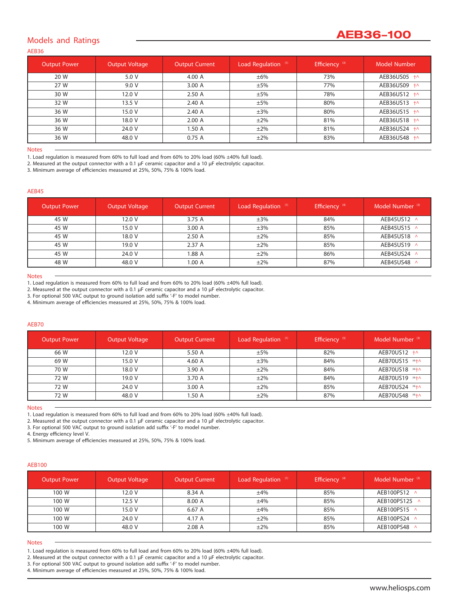# **AEB36-100**

# **Models and Ratings**

**AEB36**

| <b>Output Power</b> | <b>Output Voltage</b> | <b>Output Current</b> | Load Regulation (1) | Efficiency <sup>(3)</sup> | Model Number |
|---------------------|-----------------------|-----------------------|---------------------|---------------------------|--------------|
| 20 W                | 5.0 V                 | 4.00 A                | $\pm 6\%$           | 73%                       | AEB36US05 +^ |
| 27 W                | 9.0 V                 | 3.00A                 | ±5%                 | 77%                       | AEB36US09 +^ |
| 30 W                | 12.0 V                | 2.50A                 | ±5%                 | 78%                       | AEB36US12 +^ |
| 32 W                | 13.5V                 | 2.40A                 | ±5%                 | 80%                       | AEB36US13 +^ |
| 36 W                | 15.0 V                | 2.40 A                | $\pm 3\%$           | 80%                       | AEB36US15 +^ |
| 36 W                | 18.0 V                | 2.00A                 | $\pm 2\%$           | 81%                       | AEB36US18 +^ |
| 36 W                | 24.0 V                | 1.50 A                | $\pm 2\%$           | 81%                       | AEB36US24 +^ |
| 36 W                | 48.0 V                | 0.75A                 | $\pm 2\%$           | 83%                       | AEB36US48 +^ |

# **Notes**

1. Load regulation is measured from 60% to full load and from 60% to 20% load (60% ±40% full load).

*2. Measured at the output connector with a 0.1 µF ceramic capacitor and a 10 µF electrolytic capacitor.*

*3. Minimum average of eciencies measured at 25%, 50%, 75% & 100% load.*

### **AEB45**

| <b>Output Power</b> | <b>Output Voltage</b> | <b>Output Current</b> | Load Regulation (1) | Efficiency <sup>(4)</sup> | Model Number <sup>(3)</sup> |
|---------------------|-----------------------|-----------------------|---------------------|---------------------------|-----------------------------|
| 45 W                | 12.0 V                | 3.75 A                | $\pm 3\%$           | 84%                       | AEB45US12 ^                 |
| 45 W                | 15.0 V                | 3.00A                 | $\pm 3\%$           | 85%                       | AEB45US15 ^                 |
| 45 W                | 18.0 V                | 2.50A                 | $\pm 2\%$           | 85%                       | AEB45US18 ^                 |
| 45 W                | 19.0 V                | 2.37 A                | $\pm 2\%$           | 85%                       | AEB45US19 ^                 |
| 45 W                | 24.0 V                | 1.88 A                | $\pm 2\%$           | 86%                       | AEB45US24 ^                 |
| 48 W                | 48.0 V                | 1.00A                 | $\pm 2\%$           | 87%                       | AEB45US48 ^                 |

### **Notes**

1. Load regulation is measured from 60% to full load and from 60% to 20% load (60% ±40% full load).

*2. Measured at the output connector with a 0.1 µF ceramic capacitor and a 10 µF electrolytic capacitor.*

*3. For optional 500 VAC output to ground isolation add sux '-F' to model number.*

*4. Minimum average of eciencies measured at 25%, 50%, 75% & 100% load.*

### **AEB70**

| <b>Output Power</b> | <b>Output Voltage</b> | <b>Output Current</b> | Load Regulation (1) | Efficiency <sup>(5)</sup> | Model Number <sup>(3)</sup> |
|---------------------|-----------------------|-----------------------|---------------------|---------------------------|-----------------------------|
| 66 W                | 12.0 V                | 5.50 A                | ±5%                 | 82%                       | AEB70US12 +^                |
| 69 W                | 15.0 V                | 4.60 A                | $\pm 3\%$           | 84%                       | AEB70US15 (4)+^             |
| 70 W                | 18.0 V                | 3.90 A                | $\pm 2\%$           | 84%                       | AEB70US18 (4)+^             |
| 72 W                | 19.0 V                | 3.70 A                | $\pm 2\%$           | 84%                       | AEB70US19 (4)+^             |
| 72 W                | 24.0 V                | 3.00A                 | $\pm 2\%$           | 85%                       | AEB70US24 (4)+^             |
| 72 W                | 48.0 V                | 1.50A                 | $\pm 2\%$           | 87%                       | AEB70US48 (4)+^             |

### **Notes**

1. Load requlation is measured from 60% to full load and from 60% to 20% load (60% ±40% full load).

*2. Measured at the output connector with a 0.1 µF ceramic capacitor and a 10 µF electrolytic capacitor.*

*3. For optional 500 VAC output to ground isolation add sux '-F' to model number.*

*4. Energy eciency level V.*

*5. Minimum average of eciencies measured at 25%, 50%, 75% & 100% load.*

### **AEB100**

| <b>Output Power</b> | Output Voltage | <b>Output Current</b> | Load Regulation (1) | Efficiency <sup>(4)</sup> | Model Number <sup>3)</sup> |
|---------------------|----------------|-----------------------|---------------------|---------------------------|----------------------------|
| 100 W               | 12.0V          | 8.34 A                | ±4%                 | 85%                       | AEB100PS12 ^               |
| 100 W               | 12.5 V         | 8.00 A                | ±4%                 | 85%                       | AEB100PS125 ^              |
| 100 W               | 15.0 V         | 6.67 A                | ±4%                 | 85%                       | AEB100PS15 ^               |
| 100 W               | 24.0 V         | 4.17 A                | $\pm 2\%$           | 85%                       | AEB100PS24 ^               |
| 100 W               | 48.0 V         | 2.08A                 | $\pm 2\%$           | 85%                       | AEB100PS48 ^               |

### **Notes**

1. Load regulation is measured from 60% to full load and from 60% to 20% load (60% ±40% full load).

*2. Measured at the output connector with a 0.1 µF ceramic capacitor and a 10 µF electrolytic capacitor.*

*3. For optional 500 VAC output to ground isolation add sux '-F' to model number.*

*4. Minimum average of eciencies measured at 25%, 50%, 75% & 100% load.*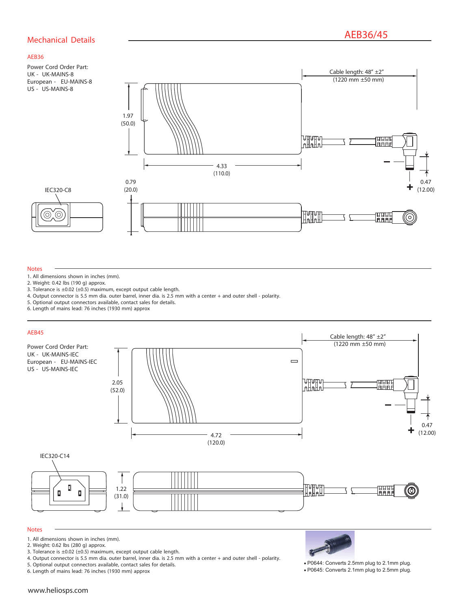# **AEB36/45 Mechanical Details**

# **AEB36**

Power Cord Order Part: UK - UK-MAINS-8 European - EU-MAINS-8 US - US-MAINS-8

IEC320-C8

0)  $\circledcirc$ 



#### **Notes**

- 1. All dimensions shown in inches (mm).
- 2. Weight: 0.42 lbs (190 g) approx.
- 3. Tolerance is ±0.02 (±0.5) maximum, except output cable length.

2.05

- 4. Output connector is 5.5 mm dia. outer barrel, inner dia. is 2.5 mm with a center + and outer shell polarity.
- 5. Optional output connectors available, contact sales for details.
- 6. Length of mains lead: 76 inches (1930 mm) approx

# **AEB45**

Power Cord Order Part: UK - UK-MAINS-IEC European - EU-MAINS-IEC US - US-MAINS-IEC



#### IEC320-C14 П **H**HH 1.22 प्राप्ताप्त O  $\blacksquare$  $\Box$ lāāā (31.0)

# **Notes**

- 1. All dimensions shown in inches (mm).
- 2. Weight: 0.62 lbs (280 g) approx.
- 3. Tolerance is ±0.02 (±0.5) maximum, except output cable length.
- 4. Output connector is 5.5 mm dia. outer barrel, inner dia. is 2.5 mm with a center + and outer shell polarity.
- 5. Optional output connectors available, contact sales for details.

6. Length of mains lead: 76 inches (1930 mm) approx



• P0644: Converts 2.5mm plug to 2.1mm plug. • P0645: Converts 2.1mm plug to 2.5mm plug.